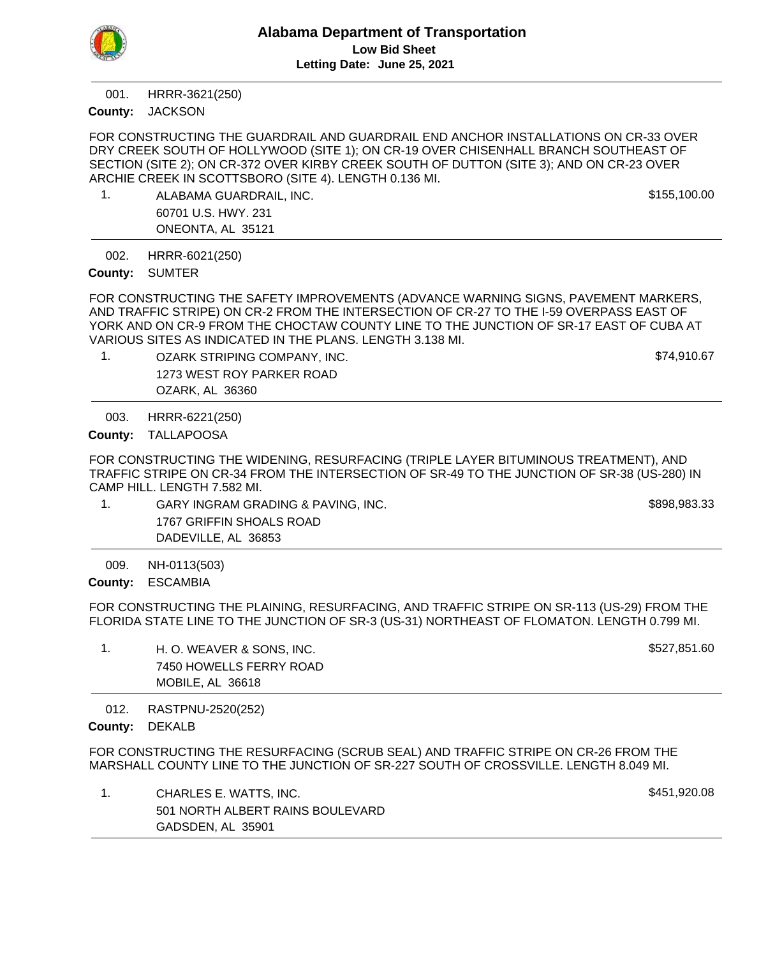HRRR-3621(250) 001.

County: JACKSON

FOR CONSTRUCTING THE GUARDRAIL AND GUARDRAIL END ANCHOR INSTALLATIONS ON CR-33 OVER DRY CREEK SOUTH OF HOLLYWOOD (SITE 1); ON CR-19 OVER CHISENHALL BRANCH SOUTHEAST OF SECTION (SITE 2); ON CR-372 OVER KIRBY CREEK SOUTH OF DUTTON (SITE 3); AND ON CR-23 OVER ARCHIE CREEK IN SCOTTSBORO (SITE 4). LENGTH 0.136 MI.

1. ALABAMA GUARDRAIL, INC. And the state of the state of the state of the state of the state of the state of the state of the state of the state of the state of the state of the state of the state of the state of the state 60701 U.S. HWY. 231 ONEONTA, AL 35121

HRRR-6021(250) 002.

County: SUMTER

FOR CONSTRUCTING THE SAFETY IMPROVEMENTS (ADVANCE WARNING SIGNS, PAVEMENT MARKERS, AND TRAFFIC STRIPE) ON CR-2 FROM THE INTERSECTION OF CR-27 TO THE I-59 OVERPASS EAST OF YORK AND ON CR-9 FROM THE CHOCTAW COUNTY LINE TO THE JUNCTION OF SR-17 EAST OF CUBA AT VARIOUS SITES AS INDICATED IN THE PLANS. LENGTH 3.138 MI.

1. OZARK STRIPING COMPANY, INC. **\$74,910.67** 1273 WEST ROY PARKER ROAD OZARK, AL 36360

HRRR-6221(250) 003.

County: TALLAPOOSA

FOR CONSTRUCTING THE WIDENING, RESURFACING (TRIPLE LAYER BITUMINOUS TREATMENT), AND TRAFFIC STRIPE ON CR-34 FROM THE INTERSECTION OF SR-49 TO THE JUNCTION OF SR-38 (US-280) IN CAMP HILL. LENGTH 7.582 MI.

1. GARY INGRAM GRADING & PAVING, INC. The state of the state of the state of the state of the state of the state of the state of the state of the state of the state of the state of the state of the state of the state of th 1767 GRIFFIN SHOALS ROAD DADEVILLE, AL 36853

NH-0113(503) 009.

ESCAMBIA **County:**

FOR CONSTRUCTING THE PLAINING, RESURFACING, AND TRAFFIC STRIPE ON SR-113 (US-29) FROM THE FLORIDA STATE LINE TO THE JUNCTION OF SR-3 (US-31) NORTHEAST OF FLOMATON. LENGTH 0.799 MI.

1. H. O. WEAVER & SONS, INC. **Black and Struck and Struck and Struck and Struck and Struck and Struck and Struck** 7450 HOWELLS FERRY ROAD MOBILE, AL 36618

RASTPNU-2520(252) 012.

County: DEKALB

FOR CONSTRUCTING THE RESURFACING (SCRUB SEAL) AND TRAFFIC STRIPE ON CR-26 FROM THE MARSHALL COUNTY LINE TO THE JUNCTION OF SR-227 SOUTH OF CROSSVILLE. LENGTH 8.049 MI.

1. CHARLES E. WATTS, INC. **Example 2018** 20:08 S451,920.08 501 NORTH ALBERT RAINS BOULEVARD GADSDEN, AL 35901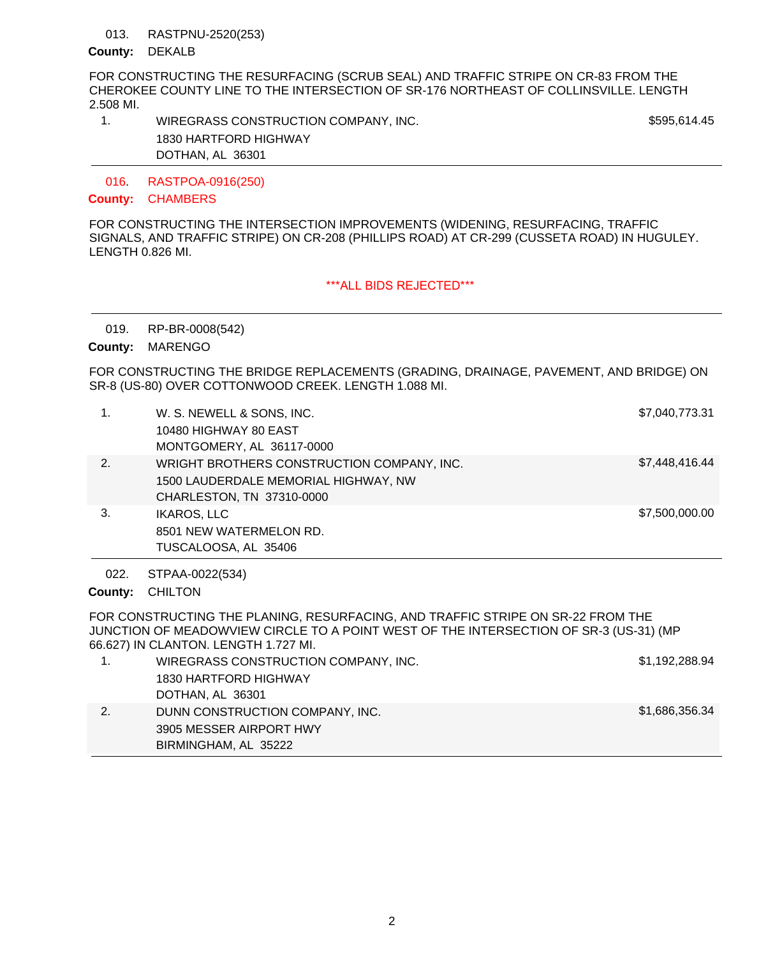#### RASTPNU-2520(253) 013.

### County: DEKALB

FOR CONSTRUCTING THE RESURFACING (SCRUB SEAL) AND TRAFFIC STRIPE ON CR-83 FROM THE CHEROKEE COUNTY LINE TO THE INTERSECTION OF SR-176 NORTHEAST OF COLLINSVILLE. LENGTH 2.508 MI.

| WIREGRASS CONSTRUCTION COMPANY, INC. | \$595.614.45 |
|--------------------------------------|--------------|
| 1830 HARTFORD HIGHWAY                |              |
| DOTHAN, AL 36301                     |              |

RASTPOA-0916(250) 016.

## County: CHAMBERS

FOR CONSTRUCTING THE INTERSECTION IMPROVEMENTS (WIDENING, RESURFACING, TRAFFIC SIGNALS, AND TRAFFIC STRIPE) ON CR-208 (PHILLIPS ROAD) AT CR-299 (CUSSETA ROAD) IN HUGULEY. LENGTH 0.826 MI.

## \*\*\*ALL BIDS REJECTED\*\*\*

RP-BR-0008(542) 019.

County: MARENGO

FOR CONSTRUCTING THE BRIDGE REPLACEMENTS (GRADING, DRAINAGE, PAVEMENT, AND BRIDGE) ON SR-8 (US-80) OVER COTTONWOOD CREEK. LENGTH 1.088 MI.

|    | W. S. NEWELL & SONS, INC.<br>10480 HIGHWAY 80 EAST<br>MONTGOMERY, AL 36117-0000                                 | \$7,040,773.31 |
|----|-----------------------------------------------------------------------------------------------------------------|----------------|
| 2. | WRIGHT BROTHERS CONSTRUCTION COMPANY, INC.<br>1500 LAUDERDALE MEMORIAL HIGHWAY, NW<br>CHARLESTON, TN 37310-0000 | \$7,448,416.44 |
| 3. | <b>IKAROS, LLC</b><br>8501 NEW WATERMELON RD.<br>TUSCALOOSA, AL 35406                                           | \$7,500,000.00 |

STPAA-0022(534) 022.

County: CHILTON

FOR CONSTRUCTING THE PLANING, RESURFACING, AND TRAFFIC STRIPE ON SR-22 FROM THE JUNCTION OF MEADOWVIEW CIRCLE TO A POINT WEST OF THE INTERSECTION OF SR-3 (US-31) (MP 66.627) IN CLANTON. LENGTH 1.727 MI.

| WIREGRASS CONSTRUCTION COMPANY, INC. | \$1,192,288.94 |
|--------------------------------------|----------------|
| 1830 HARTFORD HIGHWAY                |                |
| DOTHAN, AL 36301                     |                |
| DUNN CONSTRUCTION COMPANY, INC.      | \$1,686,356.34 |
| 3905 MESSER AIRPORT HWY              |                |
| BIRMINGHAM, AL 35222                 |                |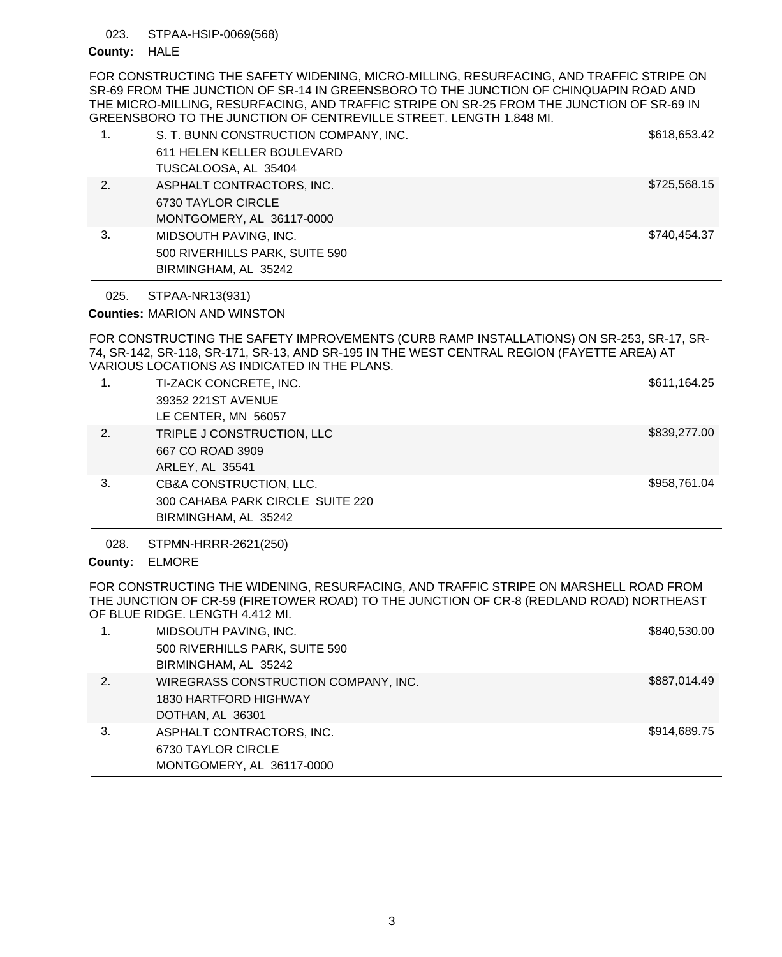#### STPAA-HSIP-0069(568) 023.

## County: HALE

FOR CONSTRUCTING THE SAFETY WIDENING, MICRO-MILLING, RESURFACING, AND TRAFFIC STRIPE ON SR-69 FROM THE JUNCTION OF SR-14 IN GREENSBORO TO THE JUNCTION OF CHINQUAPIN ROAD AND THE MICRO-MILLING, RESURFACING, AND TRAFFIC STRIPE ON SR-25 FROM THE JUNCTION OF SR-69 IN GREENSBORO TO THE JUNCTION OF CENTREVILLE STREET. LENGTH 1.848 MI.

| 1. | S. T. BUNN CONSTRUCTION COMPANY, INC. | \$618,653.42 |
|----|---------------------------------------|--------------|
|    | 611 HELEN KELLER BOULEVARD            |              |
|    | TUSCALOOSA, AL 35404                  |              |
| 2. | ASPHALT CONTRACTORS, INC.             | \$725,568.15 |
|    | 6730 TAYLOR CIRCLE                    |              |
|    | MONTGOMERY, AL 36117-0000             |              |
| 3. | MIDSOUTH PAVING, INC.                 | \$740,454.37 |
|    | 500 RIVERHILLS PARK, SUITE 590        |              |
|    | BIRMINGHAM, AL 35242                  |              |

STPAA-NR13(931) 025.

**Counties: MARION AND WINSTON** 

FOR CONSTRUCTING THE SAFETY IMPROVEMENTS (CURB RAMP INSTALLATIONS) ON SR-253, SR-17, SR-74, SR-142, SR-118, SR-171, SR-13, AND SR-195 IN THE WEST CENTRAL REGION (FAYETTE AREA) AT VARIOUS LOCATIONS AS INDICATED IN THE PLANS.

|    | TI-ZACK CONCRETE, INC.<br>39352 221ST AVENUE | \$611,164.25 |
|----|----------------------------------------------|--------------|
|    | LE CENTER, MN 56057                          |              |
| 2. | TRIPLE J CONSTRUCTION, LLC                   | \$839,277.00 |
|    | 667 CO ROAD 3909                             |              |
|    | ARLEY, AL 35541                              |              |
| 3. | CB&A CONSTRUCTION, LLC.                      | \$958,761.04 |
|    | 300 CAHABA PARK CIRCLE SUITE 220             |              |
|    | BIRMINGHAM, AL 35242                         |              |
|    |                                              |              |

STPMN-HRRR-2621(250) 028.

ELMORE **County:**

FOR CONSTRUCTING THE WIDENING, RESURFACING, AND TRAFFIC STRIPE ON MARSHELL ROAD FROM THE JUNCTION OF CR-59 (FIRETOWER ROAD) TO THE JUNCTION OF CR-8 (REDLAND ROAD) NORTHEAST OF BLUE RIDGE. LENGTH 4.412 MI.

|    | MIDSOUTH PAVING, INC.                | \$840,530.00 |
|----|--------------------------------------|--------------|
|    | 500 RIVERHILLS PARK, SUITE 590       |              |
|    | BIRMINGHAM, AL 35242                 |              |
| 2. | WIREGRASS CONSTRUCTION COMPANY, INC. | \$887,014.49 |
|    | 1830 HARTFORD HIGHWAY                |              |
|    | DOTHAN, AL 36301                     |              |
| 3. | ASPHALT CONTRACTORS, INC.            | \$914,689.75 |
|    | 6730 TAYLOR CIRCLE                   |              |
|    | MONTGOMERY, AL 36117-0000            |              |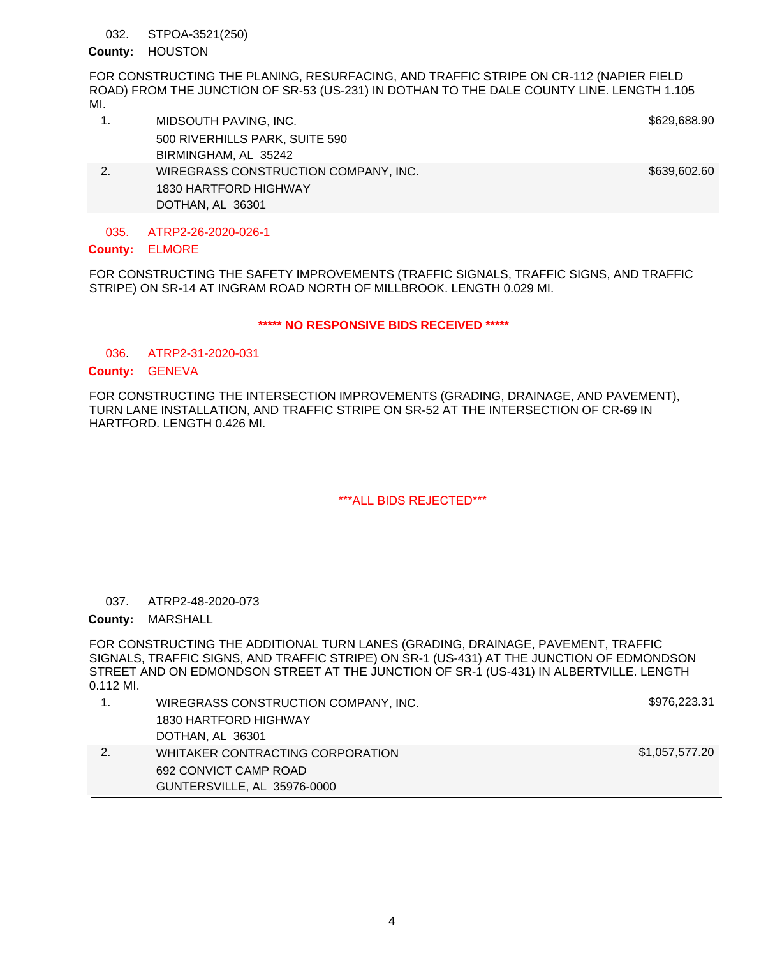STPOA-3521(250) 032.

# County: HOUSTON

FOR CONSTRUCTING THE PLANING, RESURFACING, AND TRAFFIC STRIPE ON CR-112 (NAPIER FIELD ROAD) FROM THE JUNCTION OF SR-53 (US-231) IN DOTHAN TO THE DALE COUNTY LINE. LENGTH 1.105 MI.

1. MIDSOUTH PAVING, INC. **1.1. Inc.** 5629,688.90 500 RIVERHILLS PARK, SUITE 590 BIRMINGHAM, AL 35242 2. WIREGRASS CONSTRUCTION COMPANY, INC. \$639,602.60

1830 HARTFORD HIGHWAY

ATRP2-26-2020-026-1 035.

DOTHAN, AL 36301

# ELMORE **County:**

FOR CONSTRUCTING THE SAFETY IMPROVEMENTS (TRAFFIC SIGNALS, TRAFFIC SIGNS, AND TRAFFIC STRIPE) ON SR-14 AT INGRAM ROAD NORTH OF MILLBROOK. LENGTH 0.029 MI.

## **\*\*\*\*\* NO RESPONSIVE BIDS RECEIVED \*\*\*\*\***

ATRP2-31-2020-031 036.

# County: GENEVA

FOR CONSTRUCTING THE INTERSECTION IMPROVEMENTS (GRADING, DRAINAGE, AND PAVEMENT), TURN LANE INSTALLATION, AND TRAFFIC STRIPE ON SR-52 AT THE INTERSECTION OF CR-69 IN HARTFORD. LENGTH 0.426 MI.

# \*\*\*ALL BIDS REJECTED\*\*\*

ATRP2-48-2020-073 037.

# County: MARSHALL

FOR CONSTRUCTING THE ADDITIONAL TURN LANES (GRADING, DRAINAGE, PAVEMENT, TRAFFIC SIGNALS, TRAFFIC SIGNS, AND TRAFFIC STRIPE) ON SR-1 (US-431) AT THE JUNCTION OF EDMONDSON STREET AND ON EDMONDSON STREET AT THE JUNCTION OF SR-1 (US-431) IN ALBERTVILLE. LENGTH 0.112 MI.

| WIREGRASS CONSTRUCTION COMPANY, INC. | \$976,223.31   |
|--------------------------------------|----------------|
| 1830 HARTFORD HIGHWAY                |                |
| DOTHAN, AL 36301                     |                |
| WHITAKER CONTRACTING CORPORATION     | \$1,057,577.20 |
| 692 CONVICT CAMP ROAD                |                |
| GUNTERSVILLE, AL 35976-0000          |                |